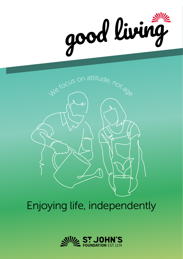



Enjoying life, independently

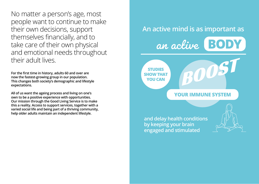No matter a person's age, most people want to continue to make their own decisions, support themselves financially, and to take care of their own physical and emotional needs throughout their adult lives.

**For the first time in history, adults 60 and over are now the fastest-growing group in our population. This changes both society's demographic and lifestyle expectations.** 

**All of us want the ageing process and living on one's own to be a positive experience with opportunities. Our mission through the Good Living Service is to make this a reality. Access to support services, together with a varied social life and being part of a thriving community, help older adults maintain an independent lifestyle.**

# **An active mind is as important as** an active **BODY STUDIES YOU CAN**

**SHOW THAT** 

## **YOUR IMMUNE SYSTEM**

**and delay health conditions by keeping your brain engaged and stimulated**

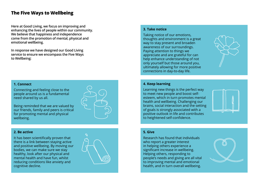## **The Five Ways to Wellbeing**

**Here at Good Living, we focus on improving and enhancing the lives of people within our community. We believe that happiness and independence come from the promotion of mental, physical and emotional wellbeing.**

**In response we have designed our Good Living service to ensure we encompass the Five Ways to Wellbeing:**

#### **1. Connect**

Connecting and feeling close to the people around us is a fundamental need shared by us all.

Being reminded that we are valued by our friends, family and peers is critical for promoting mental and physical wellbeing.

#### **2. Be active**

It has been scientifically proven that there is a link between staying active and positive wellbeing. By moving our bodies, we can make sure we stay healthy, look after our physical and mental health and have fun, whilst reducing conditions like anxiety and cognitive decline.



#### **3. Take notice**

Taking notice of our emotions, thoughts and environment is a great way to stay present and broaden awareness of our surroundings. Paying attention to things we appreciate and are grateful for can help enhance understanding of not only yourself but those around you, ultimately allowing for more positive connections in day-to-day life.

#### **4. Keep learning**

Learning new things is the perfect way to meet new people and boost selfesteem, which in turn promotes mental health and wellbeing. Challenging our brains, social interaction and the setting of goals is strongly associated with a positive outlook in life and contributes to heightened self-confidence.



#### **5. Give**

Research has found that individuals who report a greater interest in helping others experience a significant increase in wellbeing. Helping others, responding to people's needs and giving are all vital to improving mental and emotional health, and in turn overall wellbeing.

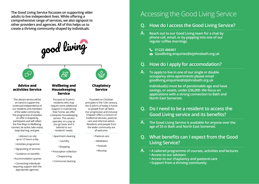**The Good Living Service focusses on supporting older adults to live independent lives. While offering a comprehensive range of services, we also signpost to other providers and agencies. All of this helps us to create a thriving community shaped by individuals.** 

good living



#### **Advice and activities Service**

This vibrant service will be on hand to support the continued independence of our residents and members of the wider community. The programme of activities on offer is shaped by participants and will reflect the Five Ways to Wellbeing; connect, be active, take notice, keep learning, and give.

> • Advisors on site up to 12 hours a day

- Activities programme
- Signposting of services
- Guidance on benefits
- Accommodation queries

• Connecting individuals requiring support with the appropriate agencies

### **Wellbeing and Housekeeping Service**

 $\mathbb{A}^{\mathbb{m}}$ 

Focused at St John's residents who may require some additional support in maintaining their home, we offer a bespoke housekeeping service. This service operates on a pay as you go basis and is tailored to our residents' needs.

- Apartment cleaning
	- Laundry
- Shopping
- Prescription collection
	- Chaperoning
- Communal cleaning



**Chaplaincy Service**

Founded on Christian principles in the 12th century, the St John's of today is home to people from all faiths. Our progressive and inclusive Chaplain offers a mixture of traditional services, pastoral care and informal advice. Residents and people from the wider community are all welcome.

- Pastoral care
- Meditation
- Festivals
- Worship

## Accessing the Good Living Service

## **Q. How do I access the Good Living Service?**

- **A. Reach out to our Good Living team for a chat by phone call, email, or by popping into one of our regular coffee mornings.**
	- **01225 486401**
	- **Goodliving.enquiries@stjohnsbath.org.uk**

## **Q. How do I apply for accomodation?**

**A. To apply to live in one of our single or double occupancy alms-apartments please email goodliving.enquiries@stjohnsbath.org.uk**

> **Individual(s) must be of pensionable age and have savings, or assets, under £36,000. We focus on applications with a strong connection to Bath and North East Somerset.**

## **Q. Do I need to be a resident to access the Good Living service and its benefits?**

**A. The Good Living Service is available for anyone over the age of 55 in Bath and North East Somerset.** 

## **Q. What benefits can I expect from the Good Living Service?**

- **A. A tailored programme of courses, activities and lectures • Access to our advisors**
	- **Access to our chaplaincy and pastoral care**
	- **Support from a thriving community**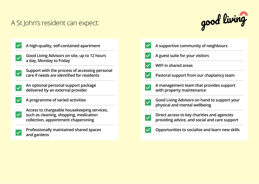## A St John's resident can expect:





| A supportive community of neighbours                                                         |
|----------------------------------------------------------------------------------------------|
| A guest suite for your visitors                                                              |
| <b>WIFI in shared areas</b>                                                                  |
| Pastoral support from our chaplaincy team                                                    |
| A management team that provides support<br>with property maintenance                         |
| Good Living Advisors on hand to support your<br>physical and mental wellbeing                |
| Direct access to key charities and agencies<br>providing advice, and social and care support |
| Opportunities to socialise and learn new skills                                              |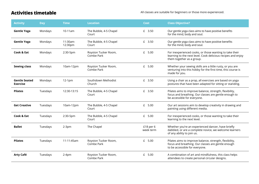## **Activities timetable**

All classes are suitable for beginners or those more experienced.

| <b>Activity</b>                         | <b>Day</b> | <b>Time</b>         | <b>Location</b>                    | <b>Cost</b>            | <b>Class Objective?</b>                                                                                                                              |
|-----------------------------------------|------------|---------------------|------------------------------------|------------------------|------------------------------------------------------------------------------------------------------------------------------------------------------|
| <b>Gentle Yoga</b>                      | Mondays    | 10-11am             | The Bubble, 4-5 Chapel<br>Court    | £ 3.50                 | Our gentle yoga class aims to have positive benefits<br>for the mind, body and soul.                                                                 |
| <b>Gentle Yoga</b>                      | Mondays    | 11:30am-<br>12:30pm | The Bubble, 4-5 Chapel<br>Court    | £ 3.50                 | Our gentle yoga class aims to have positive benefits<br>for the mind, body and soul.                                                                 |
| Cook & Eat                              | Mondays    | 2:30-5pm            | Royston Tucker Room,<br>Combe Park | £ 5.00                 | For inexperienced cooks, or those wanting to take their<br>learning to the next level. Cook delicious recipes and enjoy<br>them together as a group. |
| <b>Sewing class</b>                     | Mondays    | 10am-12pm           | Royston Tucker Room,<br>Combe Park | 5.00<br>£              | Whether your sewing skills are a little rusty, or you are<br>venturing into this hobby for the first time, this course is<br>made for you.           |
| <b>Gentle Seated</b><br><b>Exercise</b> | Mondays    | $12-1pm$            | Southdown Methodist<br>Church      | £ 3.50                 | Using a chair as a prop, all exercises are based on yoga<br>postures that have been adapted for sitting or standing.                                 |
| <b>Pilates</b>                          | Tuesdays   | 12:30-13:15         | The Bubble, 4-5 Chapel<br>Court    | 3.50<br>$\mathbf{f}$   | Pilates aims to improve balance, strength, flexibility,<br>focus and breathing. Our classes are gentle enough to<br>be accessible for everyone.      |
| <b>Get Creative</b>                     | Tuesdays   | 10am-12pm           | The Bubble, 4-5 Chapel<br>Court    | £ 5.00                 | Our art sessions aim to develop creativity in drawing and<br>painting using different media.                                                         |
| Cook & Eat                              | Tuesdays   | 2:30-5pm            | The Bubble, 4-5 Chapel<br>Court    | 5.00<br>£              | For inexperienced cooks, or those wanting to take their<br>learning to the next level.                                                               |
| <b>Ballet</b>                           | Tuesdays   | $2-3pm$             | The Chapel                         | £18 per 6<br>week term | Whether you're an experienced dancer, have briefly<br>dabbled, or are a complete novice, we welcome learners<br>of any ability to join us.           |
| <b>Pilates</b>                          | Tuesdays   | 11-11:45am          | Royston Tucker Room,<br>Combe Park | 5.00<br>$\mathbf{f}$   | Pilates aims to improve balance, strength, flexibility,<br>focus and breathing. Our classes are gentle enough<br>to be accessible for everyone.      |
| Arty Café                               | Tuesdays   | $2-4pm$             | Royston Tucker Room,<br>Combe Park | £ 5.00                 | A combination of art and mindfulness, this class helps<br>attendees to create personal circular designs.                                             |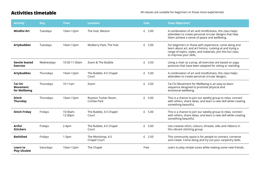Activities timetable **All classes are suitable for beginners or those more experienced.** 

| <b>Activity</b>                             | <b>Day</b> | <b>Time</b>            | <b>Location</b>                    | <b>Cost</b> | <b>Class Objective?</b>                                                                                                                                                                                       |
|---------------------------------------------|------------|------------------------|------------------------------------|-------------|---------------------------------------------------------------------------------------------------------------------------------------------------------------------------------------------------------------|
| <b>Mindful Art</b>                          | Tuesdays   | 10am-12pm              | The Hub, Weston                    | £<br>5.00   | A combination of art and mindfulness, this class helps<br>attendees to create personal circular designs that help<br>them achieve a sense of peace and wellbeing.                                             |
| <b>Artybuddies</b>                          | Tuesdays   | 10am-12pm              | Mulberry Park, The Hub             | £ 5.00      | For beginners or those with experience, come along and<br>learn about art, and art history. Looking at and trying a<br>range of topics, styles, and materials, join this fun class<br>to improve your skills. |
| <b>Gentle Seated</b><br><b>Exercise</b>     | Wednesdays | 10:30-11:30am          | Zoom & The Bubble                  | £ 3.50      | Using a chair as a prop, all exercises are based on yoga<br>postures that have been adapted for sitting or standing.                                                                                          |
| <b>Artybuddies</b>                          | Thursdays  | 10am-12pm              | The Bubble, 4-5 Chapel<br>Court    | £ 5.00      | A combination of art and mindfulness, this class helps<br>attendees to create personal circular designs.                                                                                                      |
| Tai Chi<br><b>Movement</b><br>for Wellbeing | Thursdays  | $10-11$ am             | Zoom                               | £ 3.50      | Tai Chi Movement for Wellbeing is an easy-to-learn<br>sequence designed to promote physical and<br>emotional wellbeing.                                                                                       |
| <b>Stitch</b><br>Thursday                   | Thursdays  | 10am-12pm              | Royston Tucker Room,<br>Combe Park | £<br>5.00   | This is a chance to join our weekly group to relax, connect<br>with others, share ideas, and learn a new skill while creating<br>something beautiful.                                                         |
| <b>Stitch Friday</b>                        | Fridays    | $10:30am -$<br>12:30pm | The Bubble, 4-5 Chapel<br>Court    | $£$ 5.00    | This is a chance to join our weekly group to relax, connect<br>with others, share ideas, and learn a new skill while creating<br>something beautiful.                                                         |
| <b>Artful</b><br><b>Stitchers</b>           | Fridays    | $2-4pm$                | The Bubble, 4-5 Chapel<br>Court    | $£$ 5.00    | Use creative stitch, colours, threads, silks and ribbons in<br>this vibrant stitching group.                                                                                                                  |
| <b>BathShed</b>                             | Fridays    | $1-5pm$                | The Workshop, 4-5<br>Chapel Court  | £ 2.50      | This community space is for people to connect, converse<br>and create. Come along and try out your carpentry skills.                                                                                          |
| Learn to<br><b>Play Ukulele</b>             | Saturdays  | 10am-12pm              | The Chapel                         | Free        | Learn to play simple tunes while making some new friends.                                                                                                                                                     |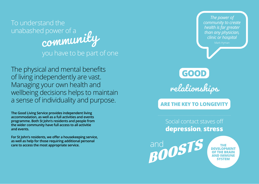To understand the unabashed power of a community you have to be part of one

The physical and mental benefits of living independently are vast. Managing your own health and wellbeing decisions helps to maintain a sense of individuality and purpose.

**The Good Living Service provides independent living accommodation, as well as a full activities and events programme. Both St John's residents and people from the wider community have full access to all activitie and events.** 

**For St John's residents, we offer a housekeeping service, as well as help for those requiring additional personal care to access the most appropriate service.**

*The power of community to create health is far greater than any physician, clinic or hospital* GOOD relationships **ARE THE KEY TO LONGEVIT** Social contact staves off **depression**, **stress** and osts **AND IMMUNE SYSTEM**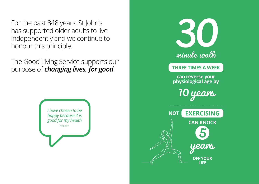For the past 848 years, St John's has supported older adults to live independently and we continue to honour this principle.

The Good Living Service supports our purpose of *changing lives, for good*.



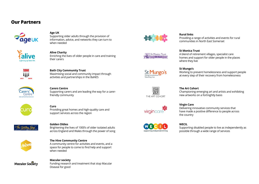### **Our Partners**



#### **Age UK**

Supporting older adults through the provision of information, advice, and networks they can turn to when needed



#### **Alive Charity**

Enriching the lives of older people in care and training their carers



#### **Bath City Community Trust**

Maximising social and community impact through activities and partnerships in the BaNES



#### **Carers Centre**

Supporting carers and are leading the way for a carerfriendly community



## **Curo**

Providing great homes and high-quality care and support services across the region



#### **Golden Oldies**

Brightening the lives of 1000's of older isolated adults across England and Wales through the power of song



#### **The Hive Community Centre**

A community centre for activities and events, and a space for people to come to find help and support when needed



#### **Macular society** Funding research and treatment that stop Macular Disease for good



#### **Rural links**

Providing a range of activities and events for rural communities in North East Somerset





## **St Monica Trust**

A blend of retirement villages, specialist care homes and support for older people in the places where they live

**St Mungo's** Working to prevent homelessness and support people at every step of their recovery from homelessness



#### **The Art Cohort**

Championing emerging art and artists and exhibiting new artworks on a fortnightly basis



#### **Virgin Care**

Delivering innovative community services that have made a positive difference to people across the country



#### **WECIL**

Supporting disabled people to live as independently as possible through a wide range of services